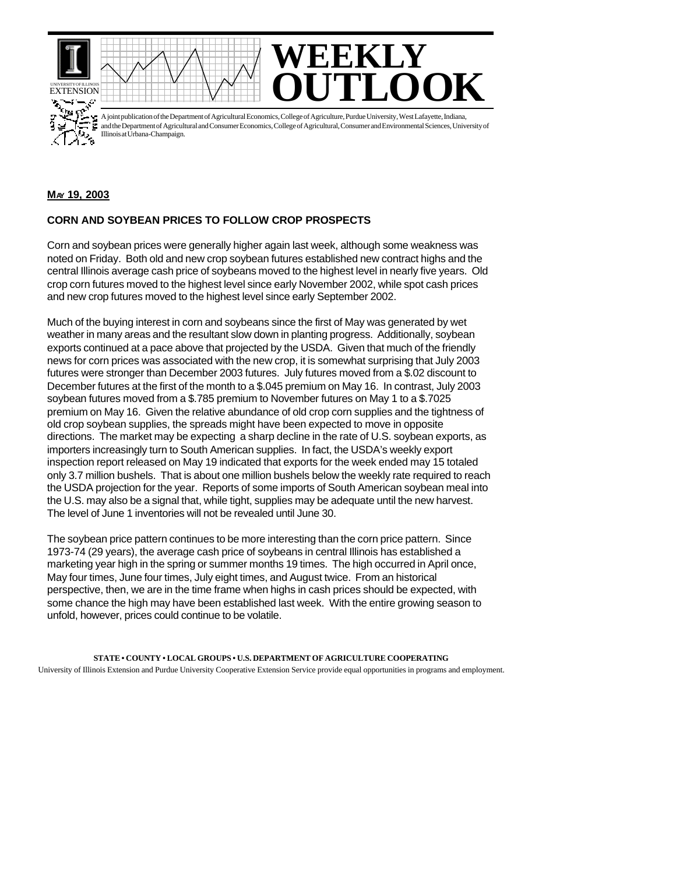



A joint publication of the Department of Agricultural Economics, College of Agriculture, Purdue University, West Lafayette, Indiana, and the Department of Agricultural and Consumer Economics, College of Agricultural, Consumer and Environmental Sciences, University of Illinois at Urbana-Champaign.

## **MAY 19, 2003**

## **CORN AND SOYBEAN PRICES TO FOLLOW CROP PROSPECTS**

Corn and soybean prices were generally higher again last week, although some weakness was noted on Friday. Both old and new crop soybean futures established new contract highs and the central Illinois average cash price of soybeans moved to the highest level in nearly five years. Old crop corn futures moved to the highest level since early November 2002, while spot cash prices and new crop futures moved to the highest level since early September 2002.

Much of the buying interest in corn and soybeans since the first of May was generated by wet weather in many areas and the resultant slow down in planting progress. Additionally, soybean exports continued at a pace above that projected by the USDA. Given that much of the friendly news for corn prices was associated with the new crop, it is somewhat surprising that July 2003 futures were stronger than December 2003 futures. July futures moved from a \$.02 discount to December futures at the first of the month to a \$.045 premium on May 16. In contrast, July 2003 soybean futures moved from a \$.785 premium to November futures on May 1 to a \$.7025 premium on May 16. Given the relative abundance of old crop corn supplies and the tightness of old crop soybean supplies, the spreads might have been expected to move in opposite directions. The market may be expecting a sharp decline in the rate of U.S. soybean exports, as importers increasingly turn to South American supplies. In fact, the USDA's weekly export inspection report released on May 19 indicated that exports for the week ended may 15 totaled only 3.7 million bushels. That is about one million bushels below the weekly rate required to reach the USDA projection for the year. Reports of some imports of South American soybean meal into the U.S. may also be a signal that, while tight, supplies may be adequate until the new harvest. The level of June 1 inventories will not be revealed until June 30.

The soybean price pattern continues to be more interesting than the corn price pattern. Since 1973-74 (29 years), the average cash price of soybeans in central Illinois has established a marketing year high in the spring or summer months 19 times. The high occurred in April once, May four times, June four times, July eight times, and August twice. From an historical perspective, then, we are in the time frame when highs in cash prices should be expected, with some chance the high may have been established last week. With the entire growing season to unfold, however, prices could continue to be volatile.

**STATE • COUNTY • LOCAL GROUPS • U.S. DEPARTMENT OF AGRICULTURE COOPERATING** University of Illinois Extension and Purdue University Cooperative Extension Service provide equal opportunities in programs and employment.